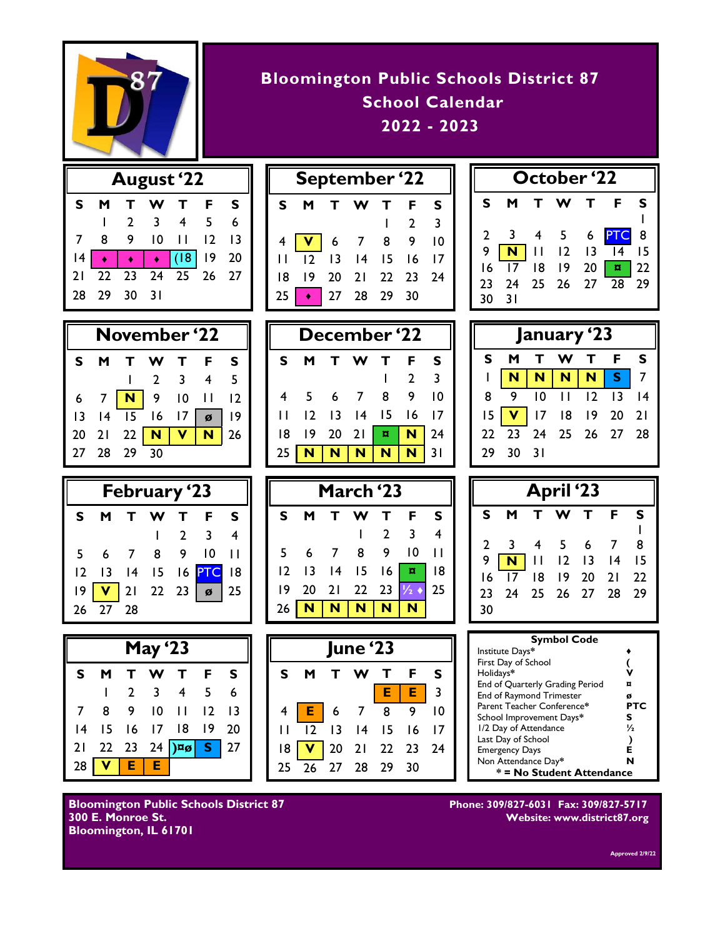

| <b>Bloomington Public Schools District 87</b> |
|-----------------------------------------------|
| School Calendar                               |
| $2022 - 2023$                                 |

| <b>August '22</b> |             |    |                     |                                                                                                                                                        |           |             |  |
|-------------------|-------------|----|---------------------|--------------------------------------------------------------------------------------------------------------------------------------------------------|-----------|-------------|--|
| S                 | м           | T. |                     | W T F                                                                                                                                                  |           | S           |  |
|                   |             |    | $2 \quad 3 \quad 4$ |                                                                                                                                                        | $-5$      | $6^{\circ}$ |  |
|                   | 8           | 9  | $10$ $11$           |                                                                                                                                                        | $12$ $13$ |             |  |
|                   |             |    |                     | $\begin{array}{ c c c c c c }\n\hline\n14 & \rightarrow & \rightarrow & \rightarrow & (18) & 19 & 20 \\ 21 & 22 & 23 & 24 & 25 & 26 & 27\n\end{array}$ |           |             |  |
|                   |             |    |                     |                                                                                                                                                        |           |             |  |
|                   | 28 29 30 31 |    |                     |                                                                                                                                                        |           |             |  |

| September '22 |                |       |               |    |                 |                         |
|---------------|----------------|-------|---------------|----|-----------------|-------------------------|
| S             |                | M T W |               | т  | F               | s                       |
|               |                |       |               |    | $\overline{2}$  | $\overline{\mathbf{3}}$ |
| 4             |                |       | $\sqrt{6}$ 7  | 8  | 9               | 10                      |
| П             | $\overline{2}$ |       | $13 \quad 14$ | 15 | $\overline{16}$ | 17                      |
| 18            | 9              |       | 20 21 22 23   |    |                 | - 74                    |
| 25            |                |       | 27 28 29      |    | 30              |                         |

**S M T W T F S**

 5 6 7 8 9 10 12 13 14 15 16 17 19 20 21 **¤ N** 24 **N N N N N** 31

**S M T W T F S**

 6 7 8 9 10 11 13 14 15 16 **¤** 18 20 21 22 23 **½** ♦ 25 26 **N N N N N**

1 2 3 4

 $1 \quad 2 \quad 3$ 

| October '22 |                 |     |            |              |                                                                                               |             |  |
|-------------|-----------------|-----|------------|--------------|-----------------------------------------------------------------------------------------------|-------------|--|
| S           | M               |     | T W        | $\mathbf{T}$ | .F                                                                                            | s           |  |
| $2^{\circ}$ | 3               | - 4 | $5\quad 6$ |              | PTC 8                                                                                         |             |  |
| 9           |                 |     |            |              | <b>N</b> $\begin{bmatrix} 11 & 12 & 13 \end{bmatrix}$ $\begin{bmatrix} 14 & 15 \end{bmatrix}$ |             |  |
| 16          | $\overline{17}$ |     | 18 19      | 20           |                                                                                               | $\sqrt{22}$ |  |
| 23          | 24              | 25  |            |              | $26$ 27 $\overline{28}$ 29                                                                    |             |  |
| 30          | $\overline{31}$ |     |            |              |                                                                                               |             |  |

| January '23 |      |      |                      |  |  |    |  |
|-------------|------|------|----------------------|--|--|----|--|
| S.          | M    |      | T W T F              |  |  | S  |  |
|             |      |      | N   N   N   N   S    |  |  |    |  |
| 8           | 9    |      | 10 11 12 13          |  |  | 14 |  |
| 15          |      |      | 1 17 18 19 20 21     |  |  |    |  |
|             |      |      | 22 23 24 25 26 27 28 |  |  |    |  |
| 79          | - 30 | - 31 |                      |  |  |    |  |

| <b>April</b> '23 |      |                |             |         |     |    |  |
|------------------|------|----------------|-------------|---------|-----|----|--|
| S                | M    | т              | W           | Т       | F   | S  |  |
| $\overline{2}$   | -3   | $\overline{4}$ | - 5         | - 6     | - 7 | 8  |  |
| 9                | N    | $\vert \vert$  | $12$ $13$   |         | 4   | 15 |  |
| 16               | 17   |                | 18 19       | $20$ 21 |     | 22 |  |
| 23               | - 24 |                | 25 26 27 28 |         |     | 29 |  |
| 30               |      |                |             |         |     |    |  |

| <b>Symbol Code</b>              |     |  |  |  |  |
|---------------------------------|-----|--|--|--|--|
| Institute Days*                 |     |  |  |  |  |
| First Day of School             |     |  |  |  |  |
| Holidays*                       |     |  |  |  |  |
| End of Quarterly Grading Period |     |  |  |  |  |
| <b>End of Raymond Trimester</b> | ø   |  |  |  |  |
| Parent Teacher Conference*      | PTC |  |  |  |  |
| School Improvement Days*        | s   |  |  |  |  |
| 1/2 Day of Attendance           | 1/2 |  |  |  |  |
| Last Day of School              |     |  |  |  |  |
| <b>Emergency Days</b>           | F   |  |  |  |  |
| Non Attendance Day*             | N   |  |  |  |  |
| * = No Student Attendance       |     |  |  |  |  |

**300 E. Monroe St. Website: www.district87.org**

**November '22 December '22 S M T W T F S** 1 2 3 4 5 6 7 **N** 9 10 11 12 13 14 15 16 17 **ø** 19 20 21 22 **N V N** 26 27 28 29 30



| <b>May '23</b> |       |     |                 |                                              |                 |     |
|----------------|-------|-----|-----------------|----------------------------------------------|-----------------|-----|
| s              |       | т   |                 | W T                                          | F               | S   |
|                |       | 2 3 |                 | $\overline{\phantom{a}}$                     | -5              | 6   |
|                | 8     | - 9 | $\overline{10}$ | - 11                                         | $\overline{12}$ | -13 |
|                | 14 15 |     |                 | 16 17 18 19                                  |                 | 20  |
|                |       |     |                 | 21 22 23 24 $\sqrt{ \mathbf{x}_\beta }$ 5 27 |                 |     |
| 28             |       | VEE |                 |                                              |                 |     |



**Bloomington Public Schools District 87 Phone: 309/827-6031 Fax: 309/827-5717 Bloomington, IL 61701** 

**Approved 2/9/22**